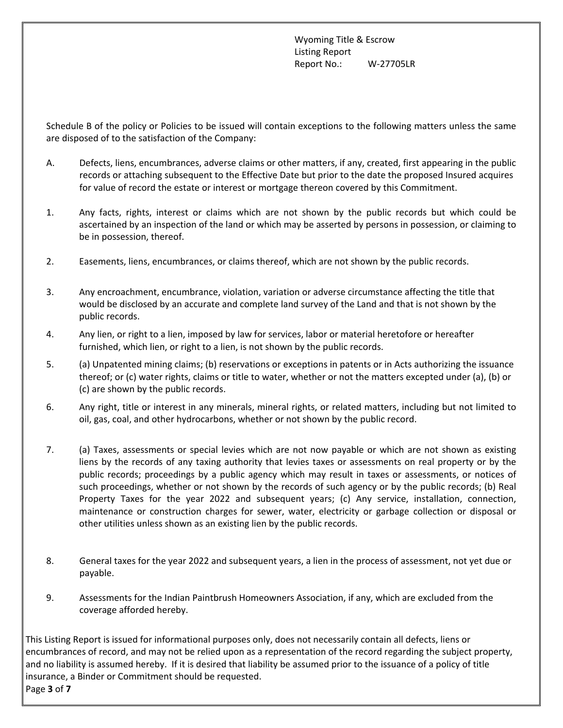Schedule B of the policy or Policies to be issued will contain exceptions to the following matters unless the same are disposed of to the satisfaction of the Company:

- A. Defects, liens, encumbrances, adverse claims or other matters, if any, created, first appearing in the public records or attaching subsequent to the Effective Date but prior to the date the proposed Insured acquires for value of record the estate or interest or mortgage thereon covered by this Commitment.
- 1. Any facts, rights, interest or claims which are not shown by the public records but which could be ascertained by an inspection of the land or which may be asserted by persons in possession, or claiming to be in possession, thereof.
- 2. Easements, liens, encumbrances, or claims thereof, which are not shown by the public records.
- 3. Any encroachment, encumbrance, violation, variation or adverse circumstance affecting the title that would be disclosed by an accurate and complete land survey of the Land and that is not shown by the public records.
- 4. Any lien, or right to a lien, imposed by law for services, labor or material heretofore or hereafter furnished, which lien, or right to a lien, is not shown by the public records.
- 5. (a) Unpatented mining claims; (b) reservations or exceptions in patents or in Acts authorizing the issuance thereof; or (c) water rights, claims or title to water, whether or not the matters excepted under (a), (b) or (c) are shown by the public records.
- 6. Any right, title or interest in any minerals, mineral rights, or related matters, including but not limited to oil, gas, coal, and other hydrocarbons, whether or not shown by the public record.
- 7. (a) Taxes, assessments or special levies which are not now payable or which are not shown as existing liens by the records of any taxing authority that levies taxes or assessments on real property or by the public records; proceedings by a public agency which may result in taxes or assessments, or notices of such proceedings, whether or not shown by the records of such agency or by the public records; (b) Real Property Taxes for the year 2022 and subsequent years; (c) Any service, installation, connection, maintenance or construction charges for sewer, water, electricity or garbage collection or disposal or other utilities unless shown as an existing lien by the public records.
- 8. General taxes for the year 2022 and subsequent years, a lien in the process of assessment, not yet due or payable.
- 9. Assessments for the Indian Paintbrush Homeowners Association, if any, which are excluded from the coverage afforded hereby.

This Listing Report is issued for informational purposes only, does not necessarily contain all defects, liens or encumbrances of record, and may not be relied upon as a representation of the record regarding the subject property, and no liability is assumed hereby. If it is desired that liability be assumed prior to the issuance of a policy of title insurance, a Binder or Commitment should be requested. Page **3** of **7**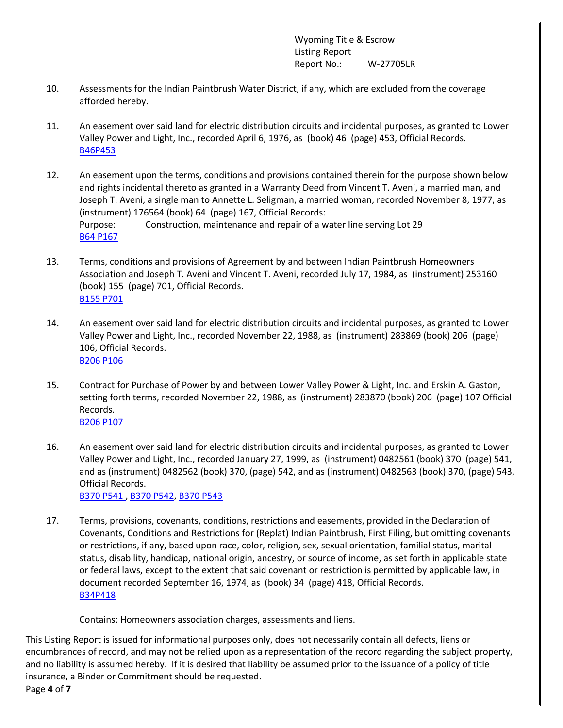- 10. Assessments for the Indian Paintbrush Water District, if any, which are excluded from the coverage afforded hereby.
- 11. An easement over said land for electric distribution circuits and incidental purposes, as granted to Lower Valley Power and Light, Inc., recorded April 6, 1976, as (book) 46 (page) 453, Official Records. [B46P453](https://orders.wyomingtitle.com/DownloadDocument.aspx?DocumentID=13588938)
- 12. An easement upon the terms, conditions and provisions contained therein for the purpose shown below and rights incidental thereto as granted in a Warranty Deed from Vincent T. Aveni, a married man, and Joseph T. Aveni, a single man to Annette L. Seligman, a married woman, recorded November 8, 1977, as (instrument) 176564 (book) 64 (page) 167, Official Records: Purpose: Construction, maintenance and repair of a water line serving Lot 29 [B64 P167](https://orders.wyomingtitle.com/DownloadDocument.aspx?DocumentID=115321228)
- 13. Terms, conditions and provisions of Agreement by and between Indian Paintbrush Homeowners Association and Joseph T. Aveni and Vincent T. Aveni, recorded July 17, 1984, as (instrument) 253160 (book) 155 (page) 701, Official Records. [B155 P701](https://orders.wyomingtitle.com/DownloadDocument.aspx?DocumentID=115360209)
- 14. An easement over said land for electric distribution circuits and incidental purposes, as granted to Lower Valley Power and Light, Inc., recorded November 22, 1988, as (instrument) 283869 (book) 206 (page) 106, Official Records. [B206 P106](https://orders.wyomingtitle.com/DownloadDocument.aspx?DocumentID=115321226)
- 15. Contract for Purchase of Power by and between Lower Valley Power & Light, Inc. and Erskin A. Gaston, setting forth terms, recorded November 22, 1988, as (instrument) 283870 (book) 206 (page) 107 Official Records. [B206 P107](https://orders.wyomingtitle.com/DownloadDocument.aspx?DocumentID=115321293)
- 16. An easement over said land for electric distribution circuits and incidental purposes, as granted to Lower Valley Power and Light, Inc., recorded January 27, 1999, as (instrument) 0482561 (book) 370 (page) 541, and as (instrument) 0482562 (book) 370, (page) 542, and as (instrument) 0482563 (book) 370, (page) 543, Official Records. [B370 P541](https://orders.wyomingtitle.com/DownloadDocument.aspx?DocumentID=115321229) , [B370 P542](https://orders.wyomingtitle.com/DownloadDocument.aspx?DocumentID=115321227), [B370 P543](https://orders.wyomingtitle.com/DownloadDocument.aspx?DocumentID=115323731)
- 17. Terms, provisions, covenants, conditions, restrictions and easements, provided in the Declaration of Covenants, Conditions and Restrictions for (Replat) Indian Paintbrush, First Filing, but omitting covenants or restrictions, if any, based upon race, color, religion, sex, sexual orientation, familial status, marital status, disability, handicap, national origin, ancestry, or source of income, as set forth in applicable state or federal laws, except to the extent that said covenant or restriction is permitted by applicable law, in document recorded September 16, 1974, as (book) 34 (page) 418, Official Records. [B34P418](https://orders.wyomingtitle.com/DownloadDocument.aspx?DocumentID=13588941)

Contains: Homeowners association charges, assessments and liens.

This Listing Report is issued for informational purposes only, does not necessarily contain all defects, liens or encumbrances of record, and may not be relied upon as a representation of the record regarding the subject property, and no liability is assumed hereby. If it is desired that liability be assumed prior to the issuance of a policy of title insurance, a Binder or Commitment should be requested.

Page **4** of **7**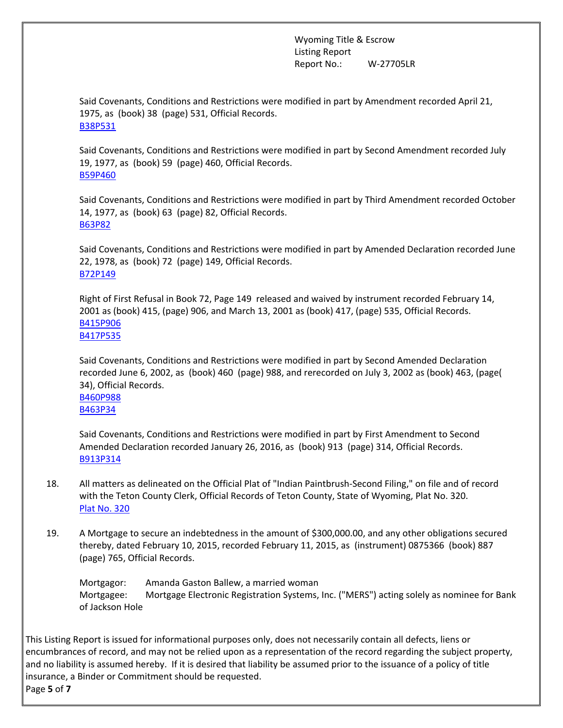Said Covenants, Conditions and Restrictions were modified in part by Amendment recorded April 21, 1975, as (book) 38 (page) 531, Official Records. [B38P531](https://orders.wyomingtitle.com/DownloadDocument.aspx?DocumentID=13588939)

Said Covenants, Conditions and Restrictions were modified in part by Second Amendment recorded July 19, 1977, as (book) 59 (page) 460, Official Records. [B59P460](https://orders.wyomingtitle.com/DownloadDocument.aspx?DocumentID=13588937)

Said Covenants, Conditions and Restrictions were modified in part by Third Amendment recorded October 14, 1977, as (book) 63 (page) 82, Official Records. [B63P82](https://orders.wyomingtitle.com/DownloadDocument.aspx?DocumentID=13588936)

Said Covenants, Conditions and Restrictions were modified in part by Amended Declaration recorded June 22, 1978, as (book) 72 (page) 149, Official Records. [B72P149](https://orders.wyomingtitle.com/DownloadDocument.aspx?DocumentID=13588935)

Right of First Refusal in Book 72, Page 149 released and waived by instrument recorded February 14, 2001 as (book) 415, (page) 906, and March 13, 2001 as (book) 417, (page) 535, Official Records. [B415P906](https://orders.wyomingtitle.com/DownloadDocument.aspx?DocumentID=15949681) [B417P535](https://orders.wyomingtitle.com/DownloadDocument.aspx?DocumentID=15949680)

Said Covenants, Conditions and Restrictions were modified in part by Second Amended Declaration recorded June 6, 2002, as (book) 460 (page) 988, and rerecorded on July 3, 2002 as (book) 463, (page( 34), Official Records.

[B460P988](https://orders.wyomingtitle.com/DownloadDocument.aspx?DocumentID=13588934) [B463P34](https://orders.wyomingtitle.com/DownloadDocument.aspx?DocumentID=13588946)

Said Covenants, Conditions and Restrictions were modified in part by First Amendment to Second Amended Declaration recorded January 26, 2016, as (book) 913 (page) 314, Official Records. [B913P314](https://orders.wyomingtitle.com/DownloadDocument.aspx?DocumentID=13588940)

- 18. All matters as delineated on the Official Plat of "Indian Paintbrush-Second Filing," on file and of record with the Teton County Clerk, Official Records of Teton County, State of Wyoming, Plat No. 320. [Plat No. 320](https://orders.wyomingtitle.com/DownloadDocument.aspx?DocumentID=13588942)
- 19. A Mortgage to secure an indebtedness in the amount of \$300,000.00, and any other obligations secured thereby, dated February 10, 2015, recorded February 11, 2015, as (instrument) 0875366 (book) 887 (page) 765, Official Records.

Mortgagor: Amanda Gaston Ballew, a married woman Mortgagee: Mortgage Electronic Registration Systems, Inc. ("MERS") acting solely as nominee for Bank of Jackson Hole

This Listing Report is issued for informational purposes only, does not necessarily contain all defects, liens or encumbrances of record, and may not be relied upon as a representation of the record regarding the subject property, and no liability is assumed hereby. If it is desired that liability be assumed prior to the issuance of a policy of title insurance, a Binder or Commitment should be requested. Page **5** of **7**